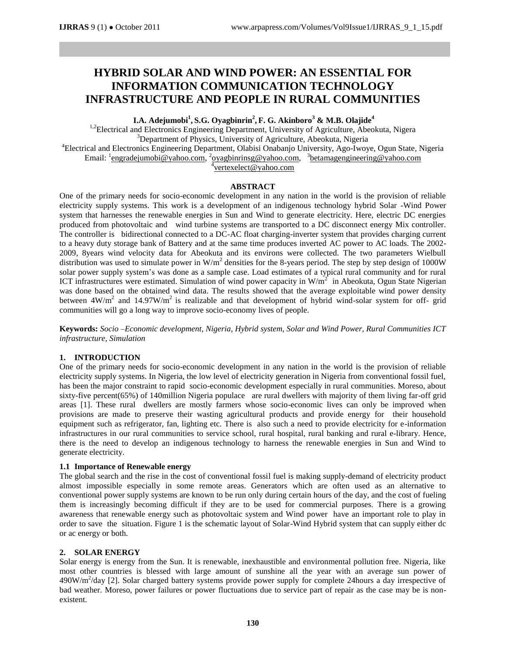# **HYBRID SOLAR AND WIND POWER: AN ESSENTIAL FOR INFORMATION COMMUNICATION TECHNOLOGY INFRASTRUCTURE AND PEOPLE IN RURAL COMMUNITIES**

**I.A. Adejumobi<sup>1</sup> , S.G. Oyagbinrin<sup>2</sup> , F. G. Akinboro<sup>3</sup> & M.B. Olajide<sup>4</sup>**

<sup>1,2</sup>Electrical and Electronics Engineering Department, University of Agriculture, Abeokuta, Nigera <sup>3</sup>Department of Physics, University of Agriculture, Abeokuta, Nigeria <sup>4</sup>Electrical and Electronics Engineering Department, Olabisi Onabanjo University, Ago-Iwoye, Ogun State, Nigeria Email: <sup>1</sup>[engradejumobi@yahoo.com,](mailto:engradejumobi@yahoo.com) <sup>2</sup>[oyagbinrinsg@yahoo.com,](mailto:oyagbinrinsg@yahoo.com) <sup>3</sup>[betamagengineering@yahoo.com](mailto:betamagengineering@yahoo.com) 4 [vertexelect@yahoo.com](mailto:vertexelect@yahoo.com)

#### **ABSTRACT**

One of the primary needs for socio-economic development in any nation in the world is the provision of reliable electricity supply systems. This work is a development of an indigenous technology hybrid Solar -Wind Power system that harnesses the renewable energies in Sun and Wind to generate electricity. Here, electric DC energies produced from photovoltaic and wind turbine systems are transported to a DC disconnect energy Mix controller. The controller is bidirectional connected to a DC-AC float charging-inverter system that provides charging current to a heavy duty storage bank of Battery and at the same time produces inverted AC power to AC loads. The 2002- 2009, 8years wind velocity data for Abeokuta and its environs were collected. The two parameters Wielbull distribution was used to simulate power in W/m<sup>2</sup> densities for the 8-years period. The step by step design of 1000W solar power supply system's was done as a sample case. Load estimates of a typical rural community and for rural ICT infrastructures were estimated. Simulation of wind power capacity in  $W/m^2$  in Abeokuta, Ogun State Nigerian was done based on the obtained wind data. The results showed that the average exploitable wind power density between  $4W/m^2$  and  $14.97W/m^2$  is realizable and that development of hybrid wind-solar system for off- grid communities will go a long way to improve socio-economy lives of people.

**Keywords:** *Socio –Economic development, Nigeria, Hybrid system, Solar and Wind Power, Rural Communities ICT infrastructure, Simulation*

## **1. INTRODUCTION**

One of the primary needs for socio-economic development in any nation in the world is the provision of reliable electricity supply systems. In Nigeria, the low level of electricity generation in Nigeria from conventional fossil fuel, has been the major constraint to rapid socio-economic development especially in rural communities. Moreso, about sixty-five percent(65%) of 140million Nigeria populace are rural dwellers with majority of them living far-off grid areas [1]. These rural dwellers are mostly farmers whose socio-economic lives can only be improved when provisions are made to preserve their wasting agricultural products and provide energy for their household equipment such as refrigerator, fan, lighting etc. There is also such a need to provide electricity for e-information infrastructures in our rural communities to service school, rural hospital, rural banking and rural e-library. Hence, there is the need to develop an indigenous technology to harness the renewable energies in Sun and Wind to generate electricity.

## **1.1 Importance of Renewable energy**

The global search and the rise in the cost of conventional fossil fuel is making supply-demand of electricity product almost impossible especially in some remote areas. Generators which are often used as an alternative to conventional power supply systems are known to be run only during certain hours of the day, and the cost of fueling them is increasingly becoming difficult if they are to be used for commercial purposes. There is a growing awareness that renewable energy such as photovoltaic system and Wind power have an important role to play in order to save the situation. Figure 1 is the schematic layout of Solar-Wind Hybrid system that can supply either dc or ac energy or both.

## **2. SOLAR ENERGY**

Solar energy is energy from the Sun. It is renewable, inexhaustible and environmental pollution free. Nigeria, like most other countries is blessed with large amount of sunshine all the year with an average sun power of 490W/m<sup>2</sup>/day [2]. Solar charged battery systems provide power supply for complete 24hours a day irrespective of bad weather. Moreso, power failures or power fluctuations due to service part of repair as the case may be is nonexistent.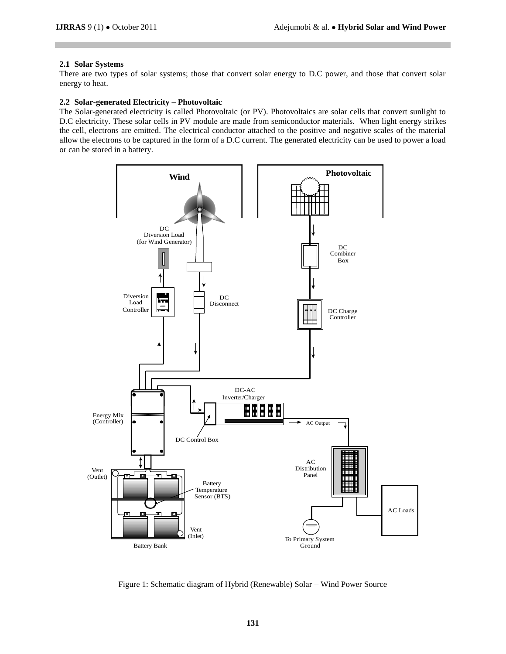## **2.1 Solar Systems**

There are two types of solar systems; those that convert solar energy to D.C power, and those that convert solar energy to heat.

## **2.2 Solar-generated Electricity – Photovoltaic**

The Solar-generated electricity is called Photovoltaic (or PV). Photovoltaics are solar cells that convert sunlight to D.C electricity. These solar cells in PV module are made from semiconductor materials. When light energy strikes the cell, electrons are emitted. The electrical conductor attached to the positive and negative scales of the material allow the electrons to be captured in the form of a D.C current. The generated electricity can be used to power a load or can be stored in a battery.



Figure 1: Schematic diagram of Hybrid (Renewable) Solar – Wind Power Source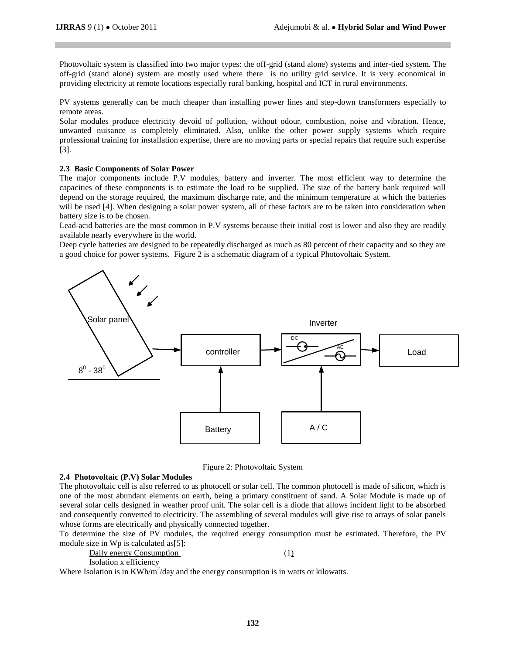Photovoltaic system is classified into two major types: the off-grid (stand alone) systems and inter-tied system. The off-grid (stand alone) system are mostly used where there is no utility grid service. It is very economical in providing electricity at remote locations especially rural banking, hospital and ICT in rural environments.

PV systems generally can be much cheaper than installing power lines and step-down transformers especially to remote areas.

Solar modules produce electricity devoid of pollution, without odour, combustion, noise and vibration. Hence, unwanted nuisance is completely eliminated. Also, unlike the other power supply systems which require professional training for installation expertise, there are no moving parts or special repairs that require such expertise [3].

## **2.3 Basic Components of Solar Power**

The major components include P.V modules, battery and inverter. The most efficient way to determine the capacities of these components is to estimate the load to be supplied. The size of the battery bank required will depend on the storage required, the maximum discharge rate, and the minimum temperature at which the batteries will be used [4]. When designing a solar power system, all of these factors are to be taken into consideration when battery size is to be chosen.

Lead-acid batteries are the most common in P.V systems because their initial cost is lower and also they are readily available nearly everywhere in the world.

Deep cycle batteries are designed to be repeatedly discharged as much as 80 percent of their capacity and so they are a good choice for power systems. Figure 2 is a schematic diagram of a typical Photovoltaic System.



Figure 2: Photovoltaic System

#### **2.4 Photovoltaic (P.V) Solar Modules**

The photovoltaic cell is also referred to as photocell or solar cell. The common photocell is made of silicon, which is one of the most abundant elements on earth, being a primary constituent of sand. A Solar Module is made up of several solar cells designed in weather proof unit. The solar cell is a diode that allows incident light to be absorbed and consequently converted to electricity. The assembling of several modules will give rise to arrays of solar panels whose forms are electrically and physically connected together.

To determine the size of PV modules, the required energy consumption must be estimated. Therefore, the PV module size in Wp is calculated as[5]:

| Daily energy Consumption                                                                                                                                                                                                                                |  |
|---------------------------------------------------------------------------------------------------------------------------------------------------------------------------------------------------------------------------------------------------------|--|
| Isolation x efficiency<br>the control of the control of the control of the control of the control of the control of the control of the control of the control of the control of the control of the control of the control of the control of the control |  |

Where Isolation is in  $KWh/m^2/day$  and the energy consumption is in watts or kilowatts.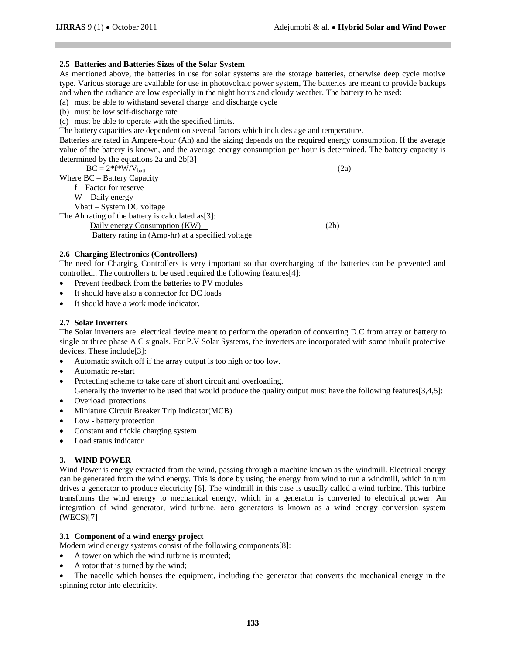## **2.5 Batteries and Batteries Sizes of the Solar System**

As mentioned above, the batteries in use for solar systems are the storage batteries, otherwise deep cycle motive type. Various storage are available for use in photovoltaic power system, The batteries are meant to provide backups and when the radiance are low especially in the night hours and cloudy weather. The battery to be used:

(a) must be able to withstand several charge and discharge cycle

(b) must be low self-discharge rate

(c) must be able to operate with the specified limits.

The battery capacities are dependent on several factors which includes age and temperature.

Batteries are rated in Ampere-hour (Ah) and the sizing depends on the required energy consumption. If the average value of the battery is known, and the average energy consumption per hour is determined. The battery capacity is determined by the equations 2a and 2b[3]

 $BC = 2*f*W/V_{\text{batt}}$  (2a) Where BC – Battery Capacity f – Factor for reserve W – Daily energy Vbatt – System DC voltage The Ah rating of the battery is calculated as[3]: Daily energy Consumption (KW) (2b) Battery rating in (Amp-hr) at a specified voltage

## **2.6 Charging Electronics (Controllers)**

The need for Charging Controllers is very important so that overcharging of the batteries can be prevented and controlled.. The controllers to be used required the following features[4]:

- Prevent feedback from the batteries to PV modules
- It should have also a connector for DC loads
- It should have a work mode indicator.

## **2.7 Solar Inverters**

The Solar inverters are electrical device meant to perform the operation of converting D.C from array or battery to single or three phase A.C signals. For P.V Solar Systems, the inverters are incorporated with some inbuilt protective devices. These include[3]:

- Automatic switch off if the array output is too high or too low.
- Automatic re-start
- Protecting scheme to take care of short circuit and overloading.
- Generally the inverter to be used that would produce the quality output must have the following features[3,4,5]:
- Overload protections
- Miniature Circuit Breaker Trip Indicator(MCB)
- Low battery protection
- Constant and trickle charging system
- Load status indicator

# **3. WIND POWER**

Wind Power is energy extracted from the wind, passing through a machine known as the windmill. Electrical energy can be generated from the wind energy. This is done by using the energy from wind to run a windmill, which in turn drives a generator to produce electricity [6]. The windmill in this case is usually called a wind turbine. This turbine transforms the wind energy to mechanical energy, which in a generator is converted to electrical power. An integration of wind generator, wind turbine, aero generators is known as a wind energy conversion system (WECS)[7]

# **3.1 Component of a wind energy project**

Modern wind energy systems consist of the following components[8]:

- A tower on which the wind turbine is mounted;
- A rotor that is turned by the wind;

 The nacelle which houses the equipment, including the generator that converts the mechanical energy in the spinning rotor into electricity.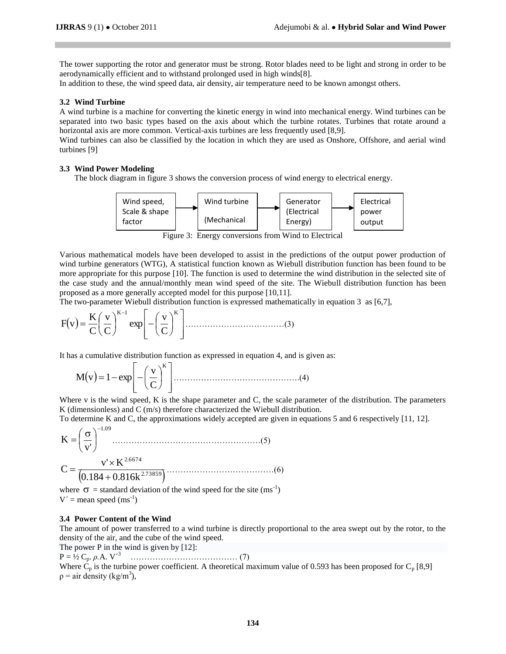The tower supporting the rotor and generator must be strong. Rotor blades need to be light and strong in order to be aerodynamically efficient and to withstand prolonged used in high winds[8].

In addition to these, the wind speed data, air density, air temperature need to be known amongst others.

#### **3.2 Wind Turbine**

A wind turbine is a machine for converting the kinetic energy in wind into mechanical energy. Wind turbines can be separated into two basic types based on the axis about which the turbine rotates. Turbines that rotate around a horizontal axis are more common. Vertical-axis turbines are less frequently used [8,9].

Wind turbines can also be classified by the location in which they are used as Onshore, Offshore, and aerial wind turbines [9]

## **3.3 Wind Power Modeling**

The block diagram in figure 3 shows the conversion process of wind energy to electrical energy.



Figure 3: Energy conversions from Wind to Electrical

Various mathematical models have been developed to assist in the predictions of the output power production of wind turbine generators (WTG), A statistical function known as Wiebull distribution function has been found to be more appropriate for this purpose [10]. The function is used to determine the wind distribution in the selected site of the case study and the annual/monthly mean wind speed of the site. The Wiebull distribution function has been proposed as a more generally accepted model for this purpose [10,11].

The two-parameter Wiebull distribution function is expressed mathematically in equation 3 as [6,7],

 K1 K C v exp C v C K F v ………………………………(3)

It has a cumulative distribution function as expressed in equation 4, and is given as:

$$
M(v) = 1 - exp\left[-\left(\frac{v}{C}\right)^{K}\right] \dots (4)
$$

Where v is the wind speed, K is the shape parameter and C, the scale parameter of the distribution. The parameters K (dimensionless) and C (m/s) therefore characterized the Wiebull distribution.

To determine K and C, the approximations widely accepted are given in equations 5 and 6 respectively [11, 12].

1.09 v' K  $\overline{\phantom{0}}$  $\overline{\phantom{a}}$ J  $\left(\frac{\cdot}{\alpha}\right)$  $\setminus$  ………………………………………………(5)  $(0.184 + 0.816k^{2.73859})$ 2.6674  $0.184 + 0.816k$  $C = \frac{v' \times K}{L_0 + c_0 + c_0}$  $\ddot{}$ …………………………………(6)

where  $\sigma$  = standard deviation of the wind speed for the site (ms<sup>-1</sup>)  $V'$  = mean speed (ms<sup>-1</sup>)

#### **3.4 Power Content of the Wind**

The amount of [power](http://en.wikipedia.org/wiki/Power_(physics)) transferred to a wind turbine is directly proportional to the area swept out by the rotor, to the density of the air, and the cube of the wind speed.

The power P in the wind is given by [12]:

P = ½ Cp. *ρ.*A. V´<sup>3</sup>………………………………… (7)

Where C<sup>p</sup> is the turbine power coefficient. A theoretical maximum value of 0.593 has been proposed for C<sup>p</sup> [8,9]  $p =$ air density (kg/m<sup>3</sup>),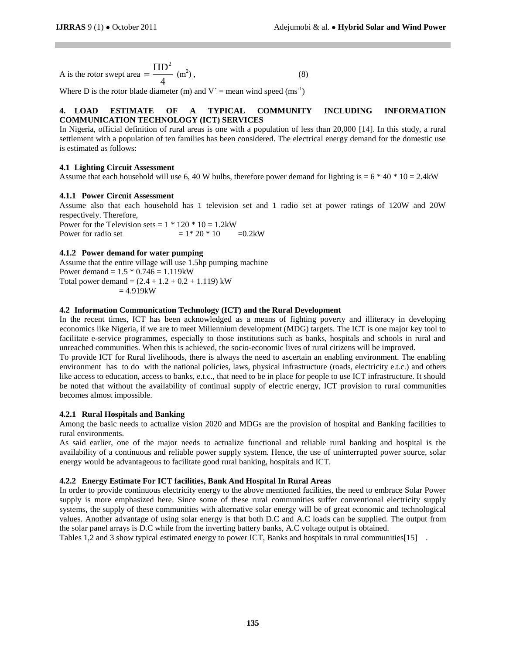A is the rotor swept area 
$$
=\frac{\Pi D^2}{4}
$$
 (m<sup>2</sup>), (8)

Where D is the rotor blade diameter (m) and  $V' =$  mean wind speed (ms<sup>-1</sup>)

# **4. LOAD ESTIMATE OF A TYPICAL COMMUNITY INCLUDING INFORMATION COMMUNICATION TECHNOLOGY (ICT) SERVICES**

In Nigeria, official definition of rural areas is one with a population of less than 20,000 [14]. In this study, a rural settlement with a population of ten families has been considered. The electrical energy demand for the domestic use is estimated as follows:

# **4.1 Lighting Circuit Assessment**

Assume that each household will use 6, 40 W bulbs, therefore power demand for lighting is =  $6 * 40 * 10 = 2.4$ kW

## **4.1.1 Power Circuit Assessment**

Assume also that each household has 1 television set and 1 radio set at power ratings of 120W and 20W respectively. Therefore,

Power for the Television sets =  $1 * 120 * 10 = 1.2$  kW Power for radio set  $= 1 * 20 * 10 = 0.2$  kW

## **4.1.2 Power demand for water pumping**

Assume that the entire village will use 1.5hp pumping machine Power demand =  $1.5 * 0.746 = 1.119$ kW Total power demand =  $(2.4 + 1.2 + 0.2 + 1.119)$  kW  $= 4.919$ kW

## **4.2 Information Communication Technology (ICT) and the Rural Development**

In the recent times, ICT has been acknowledged as a means of fighting poverty and illiteracy in developing economics like Nigeria, if we are to meet Millennium development (MDG) targets. The ICT is one major key tool to facilitate e-service programmes, especially to those institutions such as banks, hospitals and schools in rural and unreached communities. When this is achieved, the socio-economic lives of rural citizens will be improved.

To provide ICT for Rural livelihoods, there is always the need to ascertain an enabling environment. The enabling environment has to do with the national policies, laws, physical infrastructure (roads, electricity e.t.c.) and others like access to education, access to banks, e.t.c., that need to be in place for people to use ICT infrastructure. It should be noted that without the availability of continual supply of electric energy, ICT provision to rural communities becomes almost impossible.

## **4.2.1 Rural Hospitals and Banking**

Among the basic needs to actualize vision 2020 and MDGs are the provision of hospital and Banking facilities to rural environments.

As said earlier, one of the major needs to actualize functional and reliable rural banking and hospital is the availability of a continuous and reliable power supply system. Hence, the use of uninterrupted power source, solar energy would be advantageous to facilitate good rural banking, hospitals and ICT.

# **4.2.2 Energy Estimate For ICT facilities, Bank And Hospital In Rural Areas**

In order to provide continuous electricity energy to the above mentioned facilities, the need to embrace Solar Power supply is more emphasized here. Since some of these rural communities suffer conventional electricity supply systems, the supply of these communities with alternative solar energy will be of great economic and technological values. Another advantage of using solar energy is that both D.C and A.C loads can be supplied. The output from the solar panel arrays is D.C while from the inverting battery banks, A.C voltage output is obtained.

Tables 1,2 and 3 show typical estimated energy to power ICT, Banks and hospitals in rural communities [15].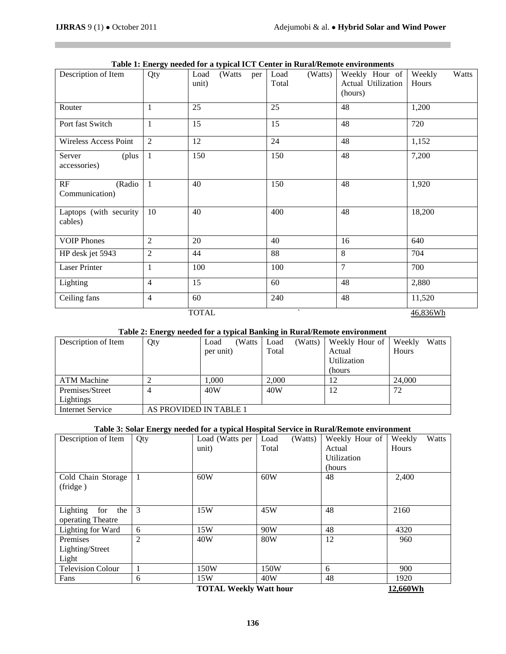П

| Table 1. Energy needed for a typical feet center in Kural/Kentote characteristic |                |                 |     |                 |                    |                 |  |
|----------------------------------------------------------------------------------|----------------|-----------------|-----|-----------------|--------------------|-----------------|--|
| Description of Item                                                              | Qty            | Load<br>(Watts) | per | Load<br>(Watts) | Weekly Hour of     | Watts<br>Weekly |  |
|                                                                                  |                | unit)           |     | Total           | Actual Utilization | Hours           |  |
|                                                                                  |                |                 |     |                 | (hours)            |                 |  |
|                                                                                  |                |                 |     |                 |                    |                 |  |
| Router                                                                           | 1              | 25              |     | 25              | 48                 | 1,200           |  |
|                                                                                  |                |                 |     |                 |                    |                 |  |
| Port fast Switch                                                                 | $\mathbf{1}$   | 15              |     | 15              | 48                 | 720             |  |
|                                                                                  |                |                 |     |                 |                    |                 |  |
| <b>Wireless Access Point</b>                                                     | 2              | 12              |     | 24              | 48                 | 1,152           |  |
|                                                                                  |                |                 |     |                 |                    |                 |  |
| Server<br>(plus                                                                  | $\mathbf{1}$   | 150             |     | 150             | 48                 | 7,200           |  |
| accessories)                                                                     |                |                 |     |                 |                    |                 |  |
|                                                                                  |                |                 |     |                 |                    |                 |  |
| RF<br>(Radio                                                                     | $\overline{1}$ | 40              |     | 150             | 48                 | 1,920           |  |
| Communication)                                                                   |                |                 |     |                 |                    |                 |  |
|                                                                                  |                |                 |     |                 |                    |                 |  |
|                                                                                  |                |                 |     |                 |                    |                 |  |
| Laptops (with security                                                           | 10             | 40              |     | 400             | 48                 | 18,200          |  |
| cables)                                                                          |                |                 |     |                 |                    |                 |  |
|                                                                                  |                |                 |     |                 |                    |                 |  |
| <b>VOIP Phones</b>                                                               | $\overline{2}$ | 20              |     | 40              | 16                 | 640             |  |
| HP desk jet 5943                                                                 | $\overline{2}$ | 44              |     | 88              | 8                  | 704             |  |
|                                                                                  |                |                 |     |                 |                    |                 |  |
| <b>Laser Printer</b>                                                             | 1              | 100             |     | 100             | $\overline{7}$     | 700             |  |
|                                                                                  |                |                 |     |                 |                    |                 |  |
| Lighting                                                                         | $\overline{4}$ | 15              |     | 60              | 48                 | 2,880           |  |
|                                                                                  |                |                 |     |                 |                    |                 |  |
| Ceiling fans                                                                     | $\overline{4}$ | 60              |     | 240             | 48                 | 11,520          |  |
|                                                                                  |                |                 |     |                 |                    |                 |  |
| <b>TOTAL</b>                                                                     |                |                 |     |                 |                    | 46,836Wh        |  |

## **Table 1: Energy needed for a typical ICT Center in Rural/Remote environments**

# **Table 2: Energy needed for a typical Banking in Rural/Remote environment**

| Description of Item     | $\tilde{}$<br>Qty      | (Watts<br>Load | Load  | (Watts) | Weekly Hour of | Weekly | Watts |
|-------------------------|------------------------|----------------|-------|---------|----------------|--------|-------|
|                         |                        | per unit)      | Total |         | Actual         | Hours  |       |
|                         |                        |                |       |         | Utilization    |        |       |
|                         |                        |                |       |         | (hours)        |        |       |
| <b>ATM Machine</b>      |                        | .000           | 2,000 |         | 12             | 24,000 |       |
| Premises/Street         |                        | 40W            | 40W   |         | 12             | 72     |       |
| Lightings               |                        |                |       |         |                |        |       |
| <b>Internet Service</b> | AS PROVIDED IN TABLE 1 |                |       |         |                |        |       |

## **Table 3: Solar Energy needed for a typical Hospital Service in Rural/Remote environment**

| Description of Item      | Qty            | Load (Watts per                                                                                   | (Watts)<br>Load | Weekly Hour of | Watts<br>Weekly                                     |
|--------------------------|----------------|---------------------------------------------------------------------------------------------------|-----------------|----------------|-----------------------------------------------------|
|                          |                | unit)                                                                                             | Total           | Actual         | Hours                                               |
|                          |                |                                                                                                   |                 | Utilization    |                                                     |
|                          |                |                                                                                                   |                 | (hours)        |                                                     |
| Cold Chain Storage       | -1             | 60W                                                                                               | 60W             | 48             | 2,400                                               |
| (fridge)                 |                |                                                                                                   |                 |                |                                                     |
|                          |                |                                                                                                   |                 |                |                                                     |
| Lighting<br>for<br>the   | 3              | 15W                                                                                               | 45W             | 48             | 2160                                                |
| operating Theatre        |                |                                                                                                   |                 |                |                                                     |
| Lighting for Ward        | 6              | 15W                                                                                               | 90W             | 48             | 4320                                                |
| Premises                 | $\overline{2}$ | 40W                                                                                               | 80W             | 12             | 960                                                 |
| Lighting/Street          |                |                                                                                                   |                 |                |                                                     |
| Light                    |                |                                                                                                   |                 |                |                                                     |
| <b>Television Colour</b> |                | 150W                                                                                              | 150W            | 6              | 900                                                 |
| Fans                     | 6              | 15W                                                                                               | 40W             | 48             | 1920                                                |
|                          |                | $T OPT AT TT TT TT TT TT TT TT TT TT TT TT TT TT TT TT TT TT TT TT TT TT TT TT TT TT TT TT TT TT$ |                 |                | 10 $\epsilon$ $\epsilon$ $\alpha$ $\alpha$ $\alpha$ |

**TOTAL Weekly Watt hour 12,660Wh**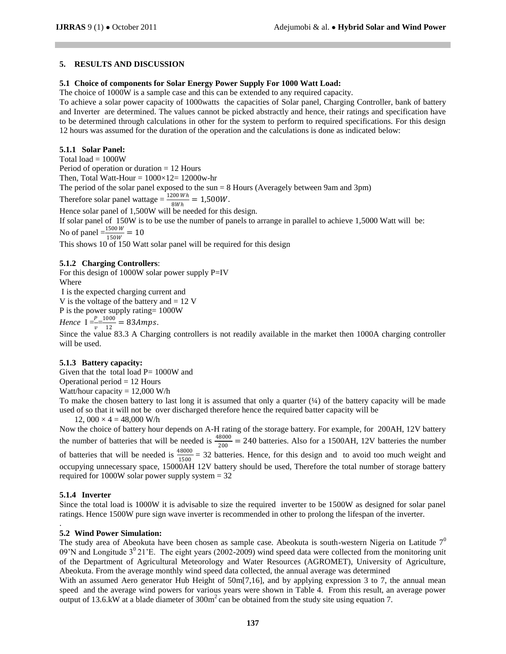# **5. RESULTS AND DISCUSSION**

## **5.1 Choice of components for Solar Energy Power Supply For 1000 Watt Load:**

The choice of 1000W is a sample case and this can be extended to any required capacity.

To achieve a solar power capacity of 1000watts the capacities of Solar panel, Charging Controller, bank of battery and Inverter are determined. The values cannot be picked abstractly and hence, their ratings and specification have to be determined through calculations in other for the system to perform to required specifications. For this design 12 hours was assumed for the duration of the operation and the calculations is done as indicated below:

# **5.1.1 Solar Panel:**

Total load  $= 1000W$ 

Period of operation or duration = 12 Hours

Then, Total Watt-Hour =  $1000 \times 12 = 12000$  w-hr

The period of the solar panel exposed to the sun = 8 Hours (Averagely between 9am and 3pm)

Therefore solar panel wattage  $=$   $\frac{1200Wh}{8Wh}$  = 1,500W.

Hence solar panel of 1,500W will be needed for this design.

If solar panel of 150W is to be use the number of panels to arrange in parallel to achieve 1,5000 Watt will be:

No of panel  $=$   $\frac{1500W}{150W}$  = 10

This shows 10 of 150 Watt solar panel will be required for this design

# **5.1.2 Charging Controllers**:

For this design of 1000W solar power supply P=IV Where

I is the expected charging current and

V is the voltage of the battery and  $= 12$  V

P is the power supply rating= 1000W

*Hence*  $I = \frac{P}{v} = \frac{1000}{12}$  $\frac{000}{12} = 83Amps.$ 

Since the value 83.3 A Charging controllers is not readily available in the market then 1000A charging controller will be used.

## **5.1.3 Battery capacity:**

Given that the total load  $P = 1000W$  and

Operational period  $= 12$  Hours

Watt/hour capacity  $= 12,000$  W/h

To make the chosen battery to last long it is assumed that only a quarter  $(\frac{1}{4})$  of the battery capacity will be made used of so that it will not be over discharged therefore hence the required batter capacity will be

12,  $000 \times 4 = 48,000$  W/h

Now the choice of battery hour depends on A-H rating of the storage battery. For example, for 200AH, 12V battery the number of batteries that will be needed is  $\frac{48000}{200} = 240$  batteries. Also for a 1500AH, 12V batteries the number of batteries that will be needed is  $\frac{48000}{1500}$  = 32 batteries. Hence, for this design and to avoid too much weight and occupying unnecessary space, 15000AH 12V battery should be used, Therefore the total number of storage battery required for 1000W solar power supply system  $= 32$ 

# **5.1.4 Inverter**

.

Since the total load is 1000W it is advisable to size the required inverter to be 1500W as designed for solar panel ratings. Hence 1500W pure sign wave inverter is recommended in other to prolong the lifespan of the inverter.

# **5.2 Wind Power Simulation:**

The study area of Abeokuta have been chosen as sample case. Abeokuta is south-western Nigeria on Latitude  $7<sup>0</sup>$ 09'N and Longitude  $3^021'E$ . The eight years (2002-2009) wind speed data were collected from the monitoring unit of the Department of Agricultural Meteorology and Water Resources (AGROMET), University of Agriculture, Abeokuta. From the average monthly wind speed data collected, the annual average was determined

With an assumed Aero generator Hub Height of 50m[7,16], and by applying expression 3 to 7, the annual mean speed and the average wind powers for various years were shown in Table 4. From this result, an average power output of 13.6.kW at a blade diameter of  $300m<sup>2</sup>$  can be obtained from the study site using equation 7.